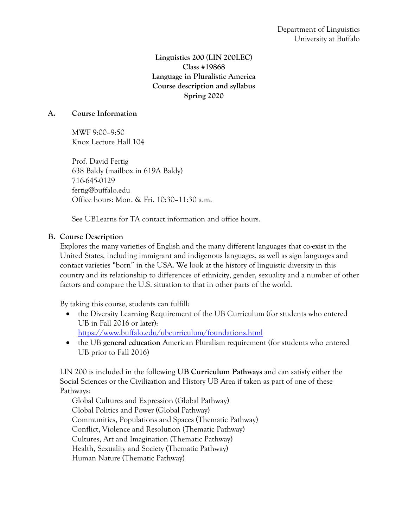**Linguistics 200 (LIN 200LEC) Class #19868 Language in Pluralistic America Course description and syllabus Spring 2020**

## **A. Course Information**

MWF 9:00–9:50 Knox Lecture Hall 104

Prof. David Fertig 638 Baldy (mailbox in 619A Baldy) 716-645-0129 fertig@buffalo.edu Office hours: Mon. & Fri. 10:30–11:30 a.m.

See UBLearns for TA contact information and office hours.

## **B. Course Description**

Explores the many varieties of English and the many different languages that co-exist in the United States, including immigrant and indigenous languages, as well as sign languages and contact varieties "born" in the USA. We look at the history of linguistic diversity in this country and its relationship to differences of ethnicity, gender, sexuality and a number of other factors and compare the U.S. situation to that in other parts of the world.

By taking this course, students can fulfill:

- the Diversity Learning Requirement of the UB Curriculum (for students who entered UB in Fall 2016 or later): https://www.buffalo.edu/ubcurriculum/foundations.html
- the UB **general education** American Pluralism requirement (for students who entered UB prior to Fall 2016)

LIN 200 is included in the following **UB Curriculum Pathways** and can satisfy either the Social Sciences or the Civilization and History UB Area if taken as part of one of these Pathways:

Global Cultures and Expression (Global Pathway) Global Politics and Power (Global Pathway) Communities, Populations and Spaces (Thematic Pathway) Conflict, Violence and Resolution (Thematic Pathway) Cultures, Art and Imagination (Thematic Pathway) Health, Sexuality and Society (Thematic Pathway) Human Nature (Thematic Pathway)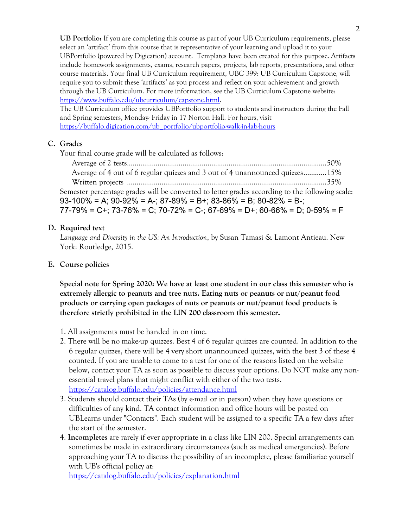**UB Portfolio:** If you are completing this course as part of your UB Curriculum requirements, please select an 'artifact' from this course that is representative of your learning and upload it to your UBPortfolio (powered by Digication) account. Templates have been created for this purpose. Artifacts include homework assignments, exams, research papers, projects, lab reports, presentations, and other course materials. Your final UB Curriculum requirement, UBC 399: UB Curriculum Capstone, will require you to submit these 'artifacts' as you process and reflect on your achievement and growth through the UB Curriculum. For more information, see the UB Curriculum Capstone website: https://www.buffalo.edu/ubcurriculum/capstone.html.

The UB Curriculum office provides UBPortfolio support to students and instructors during the Fall and Spring semesters, Monday- Friday in 17 Norton Hall. For hours, visit https://buffalo.digication.com/ub\_portfolio/ubportfolio-walk-in-lab-hours

## **C. Grades**

Your final course grade will be calculated as follows:

Average of 2 tests........................................................................................................50% Average of 4 out of 6 regular quizzes and 3 out of 4 unannounced quizzes............15% Written projects ........................................................................................................35% Semester percentage grades will be converted to letter grades according to the following scale: 93-100% = A; 90-92% = A-; 87-89% = B+; 83-86% = B; 80-82% = B-; 77-79% = C+; 73-76% = C; 70-72% = C-; 67-69% = D+; 60-66% = D; 0-59% = F

## **D. Required text**

*Language and Diversity in the US: An Introduction*, by Susan Tamasi & Lamont Antieau. New York: Routledge, 2015.

## **E. Course policies**

**Special note for Spring 2020: We have at least one student in our class this semester who is extremely allergic to peanuts and tree nuts. Eating nuts or peanuts or nut/peanut food products or carrying open packages of nuts or peanuts or nut/peanut food products is therefore strictly prohibited in the LIN 200 classroom this semester.**

- 1. All assignments must be handed in on time.
- 2. There will be no make-up quizzes. Best 4 of 6 regular quizzes are counted. In addition to the 6 regular quizzes, there will be 4 very short unannounced quizzes, with the best 3 of these 4 counted. If you are unable to come to a test for one of the reasons listed on the website below, contact your TA as soon as possible to discuss your options. Do NOT make any nonessential travel plans that might conflict with either of the two tests. https://catalog.buffalo.edu/policies/attendance.html
- 3. Students should contact their TAs (by e-mail or in person) when they have questions or difficulties of any kind. TA contact information and office hours will be posted on UBLearns under "Contacts". Each student will be assigned to a specific TA a few days after the start of the semester.
- 4. **Incompletes** are rarely if ever appropriate in a class like LIN 200. Special arrangements can sometimes be made in extraordinary circumstances (such as medical emergencies). Before approaching your TA to discuss the possibility of an incomplete, please familiarize yourself with UB's official policy at:

https://catalog.buffalo.edu/policies/explanation.html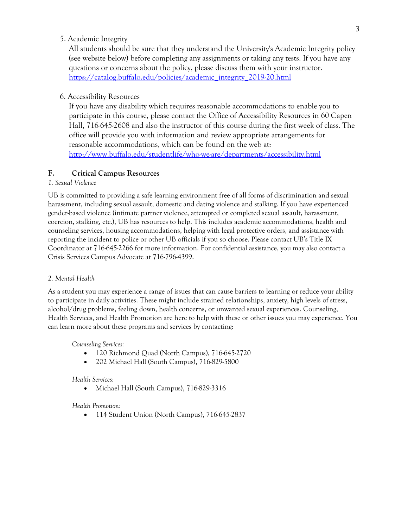5. Academic Integrity

All students should be sure that they understand the University's Academic Integrity policy (see website below) before completing any assignments or taking any tests. If you have any questions or concerns about the policy, please discuss them with your instructor. https://catalog.buffalo.edu/policies/academic\_integrity\_2019-20.html

### 6. Accessibility Resources

If you have any disability which requires reasonable accommodations to enable you to participate in this course, please contact the Office of Accessibility Resources in 60 Capen Hall, 716-645-2608 and also the instructor of this course during the first week of class. The office will provide you with information and review appropriate arrangements for reasonable accommodations, which can be found on the web at: http://www.buffalo.edu/studentlife/who-we-are/departments/accessibility.html

### **F. Critical Campus Resources**

#### *1. Sexual Violence*

UB is committed to providing a safe learning environment free of all forms of discrimination and sexual harassment, including sexual assault, domestic and dating violence and stalking. If you have experienced gender-based violence (intimate partner violence, attempted or completed sexual assault, harassment, coercion, stalking, etc.), UB has resources to help. This includes academic accommodations, health and counseling services, housing accommodations, helping with legal protective orders, and assistance with reporting the incident to police or other UB officials if you so choose. Please contact UB's Title IX Coordinator at 716-645-2266 for more information. For confidential assistance, you may also contact a Crisis Services Campus Advocate at 716-796-4399.

#### *2. Mental Health*

As a student you may experience a range of issues that can cause barriers to learning or reduce your ability to participate in daily activities. These might include strained relationships, anxiety, high levels of stress, alcohol/drug problems, feeling down, health concerns, or unwanted sexual experiences. Counseling, Health Services, and Health Promotion are here to help with these or other issues you may experience. You can learn more about these programs and services by contacting:

*Counseling Services:*

- 120 Richmond Quad (North Campus), 716-645-2720
- 202 Michael Hall (South Campus), 716-829-5800

#### *Health Services:*

• Michael Hall (South Campus), 716-829-3316

#### *Health Promotion:*

• 114 Student Union (North Campus), 716-645-2837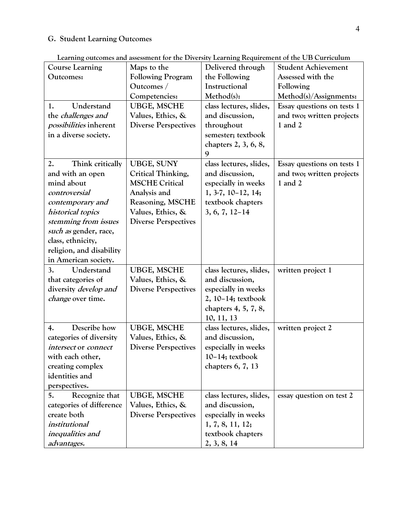## **G. Student Learning Outcomes**

| <b>Course Learning</b>        | Maps to the                 | Delivered through       | <b>Student Achievement</b> |
|-------------------------------|-----------------------------|-------------------------|----------------------------|
| Outcomes:                     | <b>Following Program</b>    | the Following           | Assessed with the          |
|                               | Outcomes /                  | Instructional           | Following                  |
|                               | Competencies:               | Method(s):              | Method(s)/Assignments:     |
| Understand<br>1.              | <b>UBGE, MSCHE</b>          | class lectures, slides, | Essay questions on tests 1 |
| the challenges and            | Values, Ethics, &           | and discussion,         | and two; written projects  |
| <i>possibilities</i> inherent | <b>Diverse Perspectives</b> | throughout              | $1$ and $2$                |
| in a diverse society.         |                             | semester; textbook      |                            |
|                               |                             | chapters 2, 3, 6, 8,    |                            |
|                               |                             | 9                       |                            |
| Think critically<br>2.        | <b>UBGE, SUNY</b>           | class lectures, slides, | Essay questions on tests 1 |
| and with an open              | Critical Thinking,          | and discussion,         | and two; written projects  |
| mind about                    | <b>MSCHE Critical</b>       | especially in weeks     | 1 and 2                    |
| controversial                 | Analysis and                | $1, 3-7, 10-12, 14;$    |                            |
| contemporary and              | Reasoning, MSCHE            | textbook chapters       |                            |
| historical topics             | Values, Ethics, &           | $3, 6, 7, 12-14$        |                            |
| stemming from issues          | <b>Diverse Perspectives</b> |                         |                            |
| such as gender, race,         |                             |                         |                            |
| class, ethnicity,             |                             |                         |                            |
| religion, and disability      |                             |                         |                            |
| in American society.          |                             |                         |                            |
| Understand<br>3.              | <b>UBGE, MSCHE</b>          | class lectures, slides, | written project 1          |
| that categories of            | Values, Ethics, &           | and discussion,         |                            |
| diversity <i>develop</i> and  | <b>Diverse Perspectives</b> | especially in weeks     |                            |
| <i>change</i> over time.      |                             | 2, 10-14; textbook      |                            |
|                               |                             | chapters 4, 5, 7, 8,    |                            |
|                               |                             | 10, 11, 13              |                            |
| Describe how<br>4.            | <b>UBGE, MSCHE</b>          | class lectures, slides, | written project 2          |
| categories of diversity       | Values, Ethics, &           | and discussion,         |                            |
| intersect or connect          | <b>Diverse Perspectives</b> | especially in weeks     |                            |
| with each other,              |                             | $10-14$ ; textbook      |                            |
| creating complex              |                             | chapters 6, 7, 13       |                            |
| identities and                |                             |                         |                            |
| perspectives.                 |                             |                         |                            |
| Recognize that<br>5.          | <b>UBGE, MSCHE</b>          | class lectures, slides, | essay question on test 2   |
| categories of difference      | Values, Ethics, &           | and discussion,         |                            |
| create both                   | <b>Diverse Perspectives</b> | especially in weeks     |                            |
| institutional                 |                             | 1, 7, 8, 11, 12;        |                            |
| inequalities and              |                             | textbook chapters       |                            |
| advantages.                   |                             | 2, 3, 8, 14             |                            |

**Learning outcomes and assessment for the Diversity Learning Requirement of the UB Curriculum**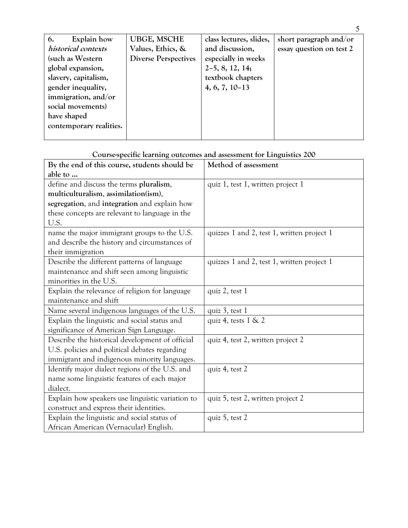| Explain how<br>6.       | <b>UBGE, MSCHE</b>          | class lectures, slides, | short paragraph and/or   |
|-------------------------|-----------------------------|-------------------------|--------------------------|
| historical contexts     | Values, Ethics, &           | and discussion,         | essay question on test 2 |
| (such as Western        | <b>Diverse Perspectives</b> | especially in weeks     |                          |
| global expansion,       |                             | $2-5, 8, 12, 14;$       |                          |
| slavery, capitalism,    |                             | textbook chapters       |                          |
| gender inequality,      |                             | $4, 6, 7, 10-13$        |                          |
| immigration, and/or     |                             |                         |                          |
| social movements)       |                             |                         |                          |
| have shaped             |                             |                         |                          |
| contemporary realities. |                             |                         |                          |
|                         |                             |                         |                          |

**Course-specific learning outcomes and assessment for Linguistics 200**

| By the end of this course, students should be    | Method of assessment                       |  |
|--------------------------------------------------|--------------------------------------------|--|
| able to                                          |                                            |  |
| define and discuss the terms pluralism,          | quiz 1, test 1, written project 1          |  |
| multiculturalism, assimilation(ism),             |                                            |  |
| segregation, and integration and explain how     |                                            |  |
| these concepts are relevant to language in the   |                                            |  |
| U.S.                                             |                                            |  |
| name the major immigrant groups to the U.S.      | quizzes 1 and 2, test 1, written project 1 |  |
| and describe the history and circumstances of    |                                            |  |
| their immigration                                |                                            |  |
| Describe the different patterns of language      | quizzes 1 and 2, test 1, written project 1 |  |
| maintenance and shift seen among linguistic      |                                            |  |
| minorities in the U.S.                           |                                            |  |
| Explain the relevance of religion for language   | quiz 2, test 1                             |  |
| maintenance and shift                            |                                            |  |
| Name several indigenous languages of the U.S.    | quiz 3, test 1                             |  |
| Explain the linguistic and social status and     | quiz 4, tests $1 \& 2$                     |  |
| significance of American Sign Language.          |                                            |  |
| Describe the historical development of official  | quiz 4, test 2, written project 2          |  |
| U.S. policies and political debates regarding    |                                            |  |
| immigrant and indigenous minority languages.     |                                            |  |
| Identify major dialect regions of the U.S. and   | quiz 4, test 2                             |  |
| name some linguistic features of each major      |                                            |  |
| dialect.                                         |                                            |  |
| Explain how speakers use linguistic variation to | quiz 5, test 2, written project 2          |  |
| construct and express their identities.          |                                            |  |
| Explain the linguistic and social status of      | quiz 5, test 2                             |  |
| African American (Vernacular) English.           |                                            |  |